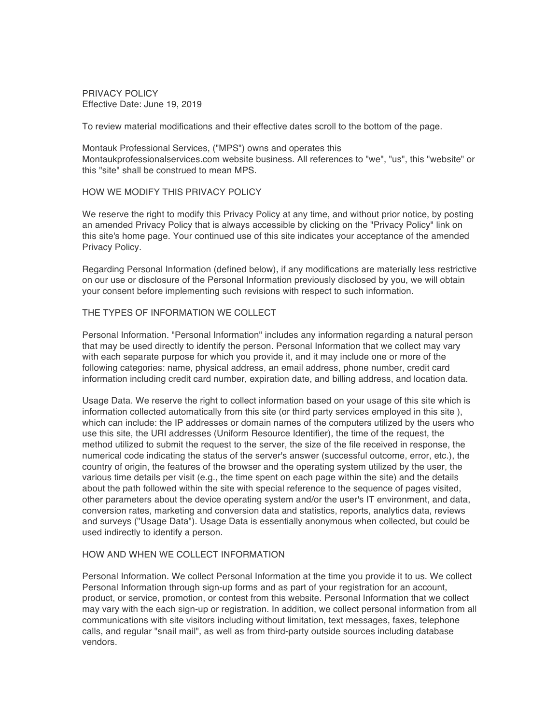PRIVACY POLICY Effective Date: June 19, 2019

To review material modifications and their effective dates scroll to the bottom of the page.

Montauk Professional Services, ("MPS") owns and operates this Montaukprofessionalservices.com website business. All references to "we", "us", this "website" or this "site" shall be construed to mean MPS.

## HOW WE MODIFY THIS PRIVACY POLICY

We reserve the right to modify this Privacy Policy at any time, and without prior notice, by posting an amended Privacy Policy that is always accessible by clicking on the "Privacy Policy" link on this site's home page. Your continued use of this site indicates your acceptance of the amended Privacy Policy.

Regarding Personal Information (defined below), if any modifications are materially less restrictive on our use or disclosure of the Personal Information previously disclosed by you, we will obtain your consent before implementing such revisions with respect to such information.

## THE TYPES OF INFORMATION WE COLLECT

Personal Information. "Personal Information" includes any information regarding a natural person that may be used directly to identify the person. Personal Information that we collect may vary with each separate purpose for which you provide it, and it may include one or more of the following categories: name, physical address, an email address, phone number, credit card information including credit card number, expiration date, and billing address, and location data.

Usage Data. We reserve the right to collect information based on your usage of this site which is information collected automatically from this site (or third party services employed in this site ), which can include: the IP addresses or domain names of the computers utilized by the users who use this site, the URI addresses (Uniform Resource Identifier), the time of the request, the method utilized to submit the request to the server, the size of the file received in response, the numerical code indicating the status of the server's answer (successful outcome, error, etc.), the country of origin, the features of the browser and the operating system utilized by the user, the various time details per visit (e.g., the time spent on each page within the site) and the details about the path followed within the site with special reference to the sequence of pages visited, other parameters about the device operating system and/or the user's IT environment, and data, conversion rates, marketing and conversion data and statistics, reports, analytics data, reviews and surveys ("Usage Data"). Usage Data is essentially anonymous when collected, but could be used indirectly to identify a person.

### HOW AND WHEN WE COLLECT INFORMATION

Personal Information. We collect Personal Information at the time you provide it to us. We collect Personal Information through sign-up forms and as part of your registration for an account, product, or service, promotion, or contest from this website. Personal Information that we collect may vary with the each sign-up or registration. In addition, we collect personal information from all communications with site visitors including without limitation, text messages, faxes, telephone calls, and regular "snail mail", as well as from third-party outside sources including database vendors.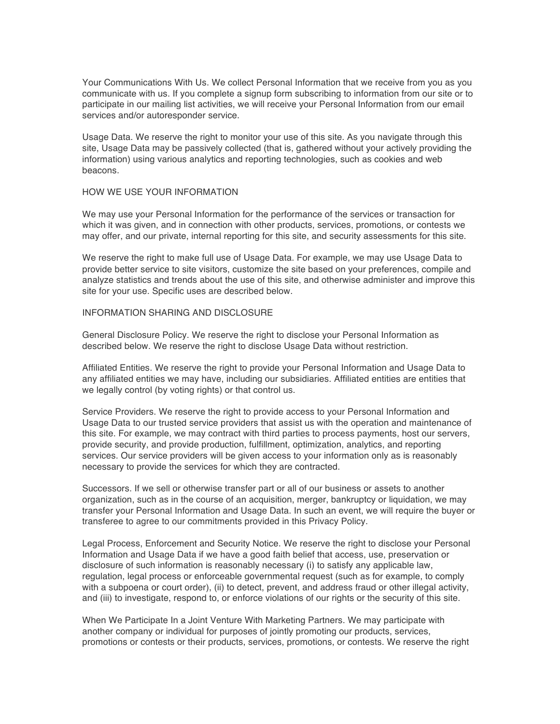Your Communications With Us. We collect Personal Information that we receive from you as you communicate with us. If you complete a signup form subscribing to information from our site or to participate in our mailing list activities, we will receive your Personal Information from our email services and/or autoresponder service.

Usage Data. We reserve the right to monitor your use of this site. As you navigate through this site, Usage Data may be passively collected (that is, gathered without your actively providing the information) using various analytics and reporting technologies, such as cookies and web beacons.

## HOW WE USE YOUR INFORMATION

We may use your Personal Information for the performance of the services or transaction for which it was given, and in connection with other products, services, promotions, or contests we may offer, and our private, internal reporting for this site, and security assessments for this site.

We reserve the right to make full use of Usage Data. For example, we may use Usage Data to provide better service to site visitors, customize the site based on your preferences, compile and analyze statistics and trends about the use of this site, and otherwise administer and improve this site for your use. Specific uses are described below.

## INFORMATION SHARING AND DISCLOSURE

General Disclosure Policy. We reserve the right to disclose your Personal Information as described below. We reserve the right to disclose Usage Data without restriction.

Affiliated Entities. We reserve the right to provide your Personal Information and Usage Data to any affiliated entities we may have, including our subsidiaries. Affiliated entities are entities that we legally control (by voting rights) or that control us.

Service Providers. We reserve the right to provide access to your Personal Information and Usage Data to our trusted service providers that assist us with the operation and maintenance of this site. For example, we may contract with third parties to process payments, host our servers, provide security, and provide production, fulfillment, optimization, analytics, and reporting services. Our service providers will be given access to your information only as is reasonably necessary to provide the services for which they are contracted.

Successors. If we sell or otherwise transfer part or all of our business or assets to another organization, such as in the course of an acquisition, merger, bankruptcy or liquidation, we may transfer your Personal Information and Usage Data. In such an event, we will require the buyer or transferee to agree to our commitments provided in this Privacy Policy.

Legal Process, Enforcement and Security Notice. We reserve the right to disclose your Personal Information and Usage Data if we have a good faith belief that access, use, preservation or disclosure of such information is reasonably necessary (i) to satisfy any applicable law, regulation, legal process or enforceable governmental request (such as for example, to comply with a subpoena or court order), (ii) to detect, prevent, and address fraud or other illegal activity, and (iii) to investigate, respond to, or enforce violations of our rights or the security of this site.

When We Participate In a Joint Venture With Marketing Partners. We may participate with another company or individual for purposes of jointly promoting our products, services, promotions or contests or their products, services, promotions, or contests. We reserve the right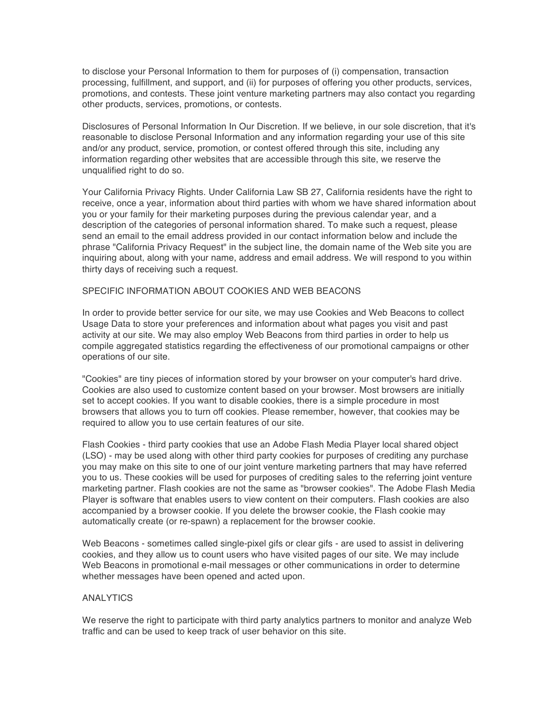to disclose your Personal Information to them for purposes of (i) compensation, transaction processing, fulfillment, and support, and (ii) for purposes of offering you other products, services, promotions, and contests. These joint venture marketing partners may also contact you regarding other products, services, promotions, or contests.

Disclosures of Personal Information In Our Discretion. If we believe, in our sole discretion, that it's reasonable to disclose Personal Information and any information regarding your use of this site and/or any product, service, promotion, or contest offered through this site, including any information regarding other websites that are accessible through this site, we reserve the unqualified right to do so.

Your California Privacy Rights. Under California Law SB 27, California residents have the right to receive, once a year, information about third parties with whom we have shared information about you or your family for their marketing purposes during the previous calendar year, and a description of the categories of personal information shared. To make such a request, please send an email to the email address provided in our contact information below and include the phrase "California Privacy Request" in the subject line, the domain name of the Web site you are inquiring about, along with your name, address and email address. We will respond to you within thirty days of receiving such a request.

#### SPECIFIC INFORMATION ABOUT COOKIES AND WEB BEACONS

In order to provide better service for our site, we may use Cookies and Web Beacons to collect Usage Data to store your preferences and information about what pages you visit and past activity at our site. We may also employ Web Beacons from third parties in order to help us compile aggregated statistics regarding the effectiveness of our promotional campaigns or other operations of our site.

"Cookies" are tiny pieces of information stored by your browser on your computer's hard drive. Cookies are also used to customize content based on your browser. Most browsers are initially set to accept cookies. If you want to disable cookies, there is a simple procedure in most browsers that allows you to turn off cookies. Please remember, however, that cookies may be required to allow you to use certain features of our site.

Flash Cookies - third party cookies that use an Adobe Flash Media Player local shared object (LSO) - may be used along with other third party cookies for purposes of crediting any purchase you may make on this site to one of our joint venture marketing partners that may have referred you to us. These cookies will be used for purposes of crediting sales to the referring joint venture marketing partner. Flash cookies are not the same as "browser cookies". The Adobe Flash Media Player is software that enables users to view content on their computers. Flash cookies are also accompanied by a browser cookie. If you delete the browser cookie, the Flash cookie may automatically create (or re-spawn) a replacement for the browser cookie.

Web Beacons - sometimes called single-pixel gifs or clear gifs - are used to assist in delivering cookies, and they allow us to count users who have visited pages of our site. We may include Web Beacons in promotional e-mail messages or other communications in order to determine whether messages have been opened and acted upon.

# **ANALYTICS**

We reserve the right to participate with third party analytics partners to monitor and analyze Web traffic and can be used to keep track of user behavior on this site.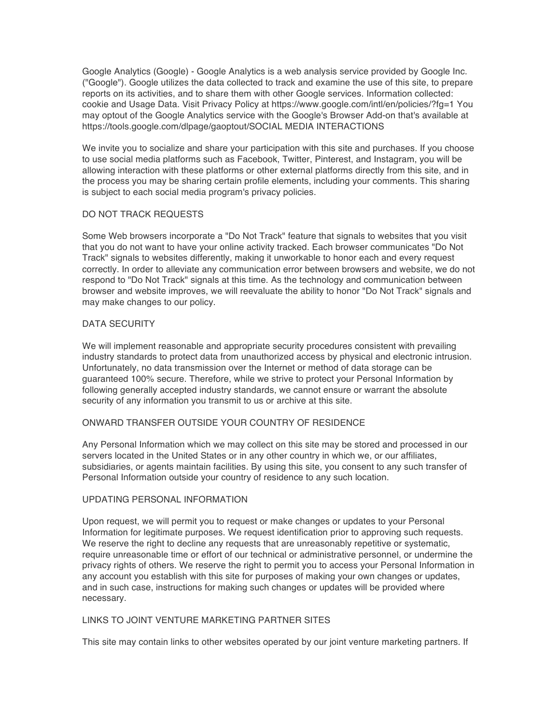Google Analytics (Google) - Google Analytics is a web analysis service provided by Google Inc. ("Google"). Google utilizes the data collected to track and examine the use of this site, to prepare reports on its activities, and to share them with other Google services. Information collected: cookie and Usage Data. Visit Privacy Policy at https://www.google.com/intl/en/policies/?fg=1 You may optout of the Google Analytics service with the Google's Browser Add-on that's available at https://tools.google.com/dlpage/gaoptout/SOCIAL MEDIA INTERACTIONS

We invite you to socialize and share your participation with this site and purchases. If you choose to use social media platforms such as Facebook, Twitter, Pinterest, and Instagram, you will be allowing interaction with these platforms or other external platforms directly from this site, and in the process you may be sharing certain profile elements, including your comments. This sharing is subject to each social media program's privacy policies.

## DO NOT TRACK REQUESTS

Some Web browsers incorporate a "Do Not Track" feature that signals to websites that you visit that you do not want to have your online activity tracked. Each browser communicates "Do Not Track" signals to websites differently, making it unworkable to honor each and every request correctly. In order to alleviate any communication error between browsers and website, we do not respond to "Do Not Track" signals at this time. As the technology and communication between browser and website improves, we will reevaluate the ability to honor "Do Not Track" signals and may make changes to our policy.

## DATA SECURITY

We will implement reasonable and appropriate security procedures consistent with prevailing industry standards to protect data from unauthorized access by physical and electronic intrusion. Unfortunately, no data transmission over the Internet or method of data storage can be guaranteed 100% secure. Therefore, while we strive to protect your Personal Information by following generally accepted industry standards, we cannot ensure or warrant the absolute security of any information you transmit to us or archive at this site.

# ONWARD TRANSFER OUTSIDE YOUR COUNTRY OF RESIDENCE

Any Personal Information which we may collect on this site may be stored and processed in our servers located in the United States or in any other country in which we, or our affiliates, subsidiaries, or agents maintain facilities. By using this site, you consent to any such transfer of Personal Information outside your country of residence to any such location.

#### UPDATING PERSONAL INFORMATION

Upon request, we will permit you to request or make changes or updates to your Personal Information for legitimate purposes. We request identification prior to approving such requests. We reserve the right to decline any requests that are unreasonably repetitive or systematic, require unreasonable time or effort of our technical or administrative personnel, or undermine the privacy rights of others. We reserve the right to permit you to access your Personal Information in any account you establish with this site for purposes of making your own changes or updates, and in such case, instructions for making such changes or updates will be provided where necessary.

## LINKS TO JOINT VENTURE MARKETING PARTNER SITES

This site may contain links to other websites operated by our joint venture marketing partners. If